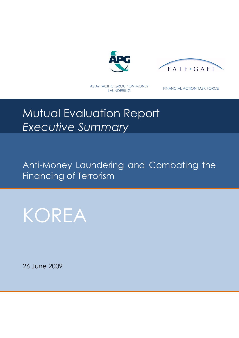



ASIA/PACIFIC GROUP ON MONEY

LAUNDERING FINANCIAL ACTION TASK FORCE

# Mutual Evaluation Report *Executive Summary*

Anti-Money Laundering and Combating the Financing of Terrorism

KOREA

26 June 2009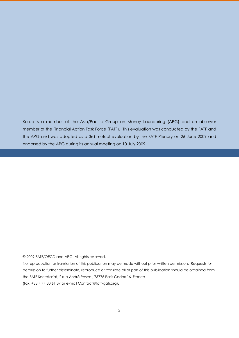Korea is a member of the Asia/Pacific Group on Money Laundering (APG) and an observer member of the Financial Action Task Force (FATF). This evaluation was conducted by the FATF and the APG and was adopted as a 3rd mutual evaluation by the FATF Plenary on 26 June 2009 and endorsed by the APG during its annual meeting on 10 July 2009.

#### © 2009 FATF/OECD and APG. All rights reserved.

No reproduction or translation of this publication may be made without prior written permission. Requests for permission to further disseminate, reproduce or translate all or part of this publication should be obtained from the FATF Secretariat, 2 rue André Pascal, 75775 Paris Cedex 16, France (fax: +33 4 44 30 61 37 or e-mail Contact@fatf-gafi.org).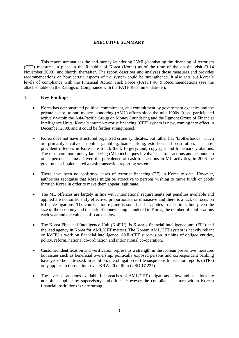#### **EXECUTIVE SUMMARY**

1. This report summarises the anti-money laundering (AML)/combating the financing of terrorism (CFT) measures in place in the Republic of Korea (Korea) as of the time of the on-site visit (3-14 November 2008), and shortly thereafter. The report describes and analyses those measures and provides recommendations on how certain aspects of the system could be strengthened. It also sets out Korea's levels of compliance with the Financial Action Task Force (FATF) 40+9 Recommendations (see the attached table on the Ratings of Compliance with the FATF Recommendations).

#### **1. Key Findings**

- Korea has demonstrated political commitment, and commitment by government agencies and the private sector, to anti-money laundering (AML) efforts since the mid 1990s. It has participated actively within the Asia/Pacific Group on Money Laundering and the Egmont Group of Financial Intelligence Units. Korea's counter-terrorist financing (CFT) system is new, coming into effect in December 2008, and it could be further strengthened.
- Korea does not have structured organised crime syndicates, but rather has 'brotherhoods' which are primarily involved in online gambling, loan-sharking, extortion and prostitution. The most prevalent offences in Korea are fraud; theft; forgery; and, copyright and trademark violations. The most common money laundering (ML) techniques involve cash transactions and accounts in other persons' names. Given the prevalence of cash transactions in ML activities, in 2006 the government implemented a cash transaction reporting system.
- There have been no confirmed cases of terrorist financing (TF) in Korea to date. However, authorities recognise that Korea might be attractive to persons wishing to move funds or goods through Korea in order to make them appear legitimate.
- The ML offences are largely in line with international requirements but penalties available and applied are not sufficiently effective, proportionate or dissuasive and there is a lack of focus on ML investigations. The confiscation regime is sound and it applies to all crimes but, given the size of the economy and the risk of money being laundered in Korea, the number of confiscations each year and the value confiscated is low.
- The Korea Financial Intelligence Unit (KoFIU), is Korea's financial intelligence unit (FIU) and the lead agency in Korea for AML/CFT matters. The Korean AML/CFT system is heavily reliant on KoFIU's work on financial intelligence, AML/CFT supervision, training of obliged entities, policy, reform, national co-ordination and international co-operation.
- Customer identification and verification represents a strength in the Korean preventive measures but issues such as beneficial ownership, politically exposed persons and correspondent banking have yet to be addressed. In addition, the obligation to file suspicious transaction reports (STRs) only applies to transactions over KRW 20 million (USD 17 227).
- The level of sanctions available for breaches of AML/CFT obligations is low and sanctions are not often applied by supervisory authorities. However the compliance culture within Korean financial institutions is very strong.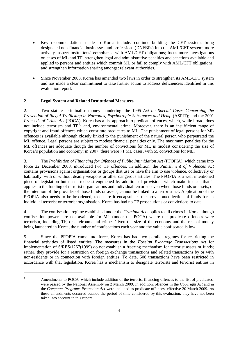- Key recommendations made to Korea include: continue building the CFT system; bring designated non-financial businesses and professions (DNFBPs) into the AML/CFT system; more actively inspect institutions' compliance with AML/CFT obligations; focus more investigations on cases of ML and TF; strengthen legal and administrative penalties and sanctions available and applied to persons and entities which commit ML or fail to comply with AML/CFT obligations; and strengthen information sharing amongst relevant authorities.
- Since November 2008, Korea has amended two laws in order to strengthen its AML/CFT system and has made a clear commitment to take further action to address deficiencies identified in this evaluation report.

#### **2. Legal System and Related Institutional Measures**

 $\overline{a}$ 

2. Two statutes criminalise money laundering: the 1995 *Act on Special Cases Concerning the Prevention of Illegal Trafficking in Narcotics, Psychotropic Substances and Hemp* (ASPIT); and the 2001 *Proceeds of Crime Act* (POCA). Korea has a list approach to predicate offences, which, while broad, does not include terrorism and  $TF<sup>1</sup>$ ; and, environmental crime. Moreover, there is an insufficient range of copyright and fraud offences which constitute predicates to ML. The punishment of legal persons for ML offences is available although closely linked to the punishment of the natural person who perpetrated the ML offence. Legal persons are subject to modest financial penalties only. The maximum penalties for the ML offences are adequate though the number of convictions for ML is modest considering the size of Korea's population and economy: in 2007, there were 71 ML cases, with 55 convictions for ML.

3. The *Prohibition of Financing for Offences of Public Intimidation Act* (PFOPIA), which came into force 22 December 2008, introduced two TF offences. In addition, the *Punishment of Violences Act*  contains provisions against organisations or groups that use or have the aim to use violence, collectively or habitually, with or without deadly weapons or other dangerous articles. The PFOPIA is a well intentioned piece of legislation but needs to be strengthened by addition of provisions which make it clear that it applies to the funding of terrorist organisations and individual terrorists even when those funds or assets, or the intention of the provider of those funds or assets, cannot be linked to a terrorist act. Application of the PFOPIA also needs to be broadened, to ensure it encapsulates the provision/collection of funds for an individual terrorist or terrorist organisation. Korea has had no TF prosecutions or convictions to date.

4. The confiscation regime established under the *Criminal Act* applies to all crimes in Korea, though confiscation powers are not available for ML (under the POCA) where the predicate offences were terrorism, including TF, or environmental crime. Given the size of the economy and the risk of money being laundered in Korea, the number of confiscations each year and the value confiscated is low.

5. Since the PFOPIA came into force, Korea has had two parallel regimes for restricting the financial activities of listed entities. The measures in the *Foreign Exchange Transactions Act* for implementation of S/RES/1267(1999) do not establish a freezing mechanism for terrorist assets or funds; rather, they provide for a restriction on foreign exchange transactions and related transactions by or with non-residents or in connection with foreign entities. To date, 508 transactions have been restricted in accordance with that legislation. Korea has a mechanism to designate terrorists and terrorist entities in

<sup>&</sup>lt;sup>1</sup> Amendments to POCA, which include addition of the terrorist financing offences to the list of predicates, were passed by the National Assembly on 2 March 2009. In addition, offences in the *Copyright Act* and in the *Computer Programs Protection Act* were included as predicate offences, effective 20 March 2009. As these amendments occurred outside the period of time considered by this evaluation, they have not been taken into account in this report.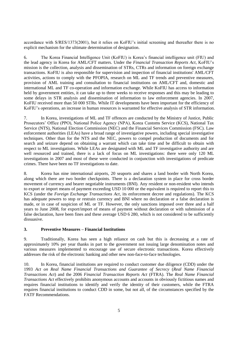accordance with S/RES/1373(2001), but it relies on KoFIU's initial screening and thereafter there is no explicit mechanism for the ultimate determination of designation.

6. The Korea Financial Intelligence Unit (KoFIU) is Korea's financial intelligence unit (FIU) and the lead agency in Korea for AML/CFT matters. Under the *Financial Transaction Reports Act*, KoFIU's mission is the collection, analysis and dissemination of STRs, CTRs and information on foreign exchange transactions. KoFIU is also responsible for supervision and inspection of financial institutions' AML/CFT activities, actions to comply with the PFOPIA, research on ML and TF trends and preventive measures, provision of AML training and consultation to financial institutions on AML/CFT and, domestic and international ML and TF co-operation and information exchange. While KoFIU has access to information held by government entities, it can take up to three weeks to receive responses and this may be leading to some delays in STR analysis and dissemination of information to law enforcement agencies. In 2007, KoFIU received more than 50 000 STRs. While IT developments have been important for the efficiency of KoFIU's operations, an increase in human resources is warranted for effective analysis of STR information.

7. In Korea, investigations of ML and TF offences are conducted by the Ministry of Justice, Public Prosecutors' Office (PPO), National Police Agency (NPA), Korea Customs Service (KCS), National Tax Service (NTS), National Election Commission (NEC) and the Financial Services Commission (FSC). Law enforcement authorities (LEAs) have a broad range of investigative powers, including special investigative techniques. Other than for the NTS and the NEC, powers to compel production of documents and for search and seizure depend on obtaining a warrant which can take time and be difficult to obtain with respect to ML investigations. While LEAs are designated with ML and TF investigative authority and are well resourced and trained, there is a lack of focus on ML investigations: there were only 120 ML investigations in 2007 and most of these were conducted in conjunction with investigations of predicate crimes. There have been no TF investigations to date.

8. Korea has nine international airports, 20 seaports and shares a land border with North Korea, along which there are two border checkpoints. There is a declaration system in place for cross border movement of currency and bearer negotiable instruments (BNI). Any resident or non-resident who intends to export or import means of payment exceeding USD 10 000 or the equivalent is required to report this to KCS (under the *Foreign Exchange Transactions Act*, its enforcement decree and regulations). The KCS has adequate powers to stop or restrain currency and BNI where no declaration or a false declaration is made, or in case of suspicion of ML or TF. However, the only sanctions imposed over three and a half years to June 2008, for export/import of means of payment without declaration or with submission of a false declaration, have been fines and these average USD 6 280, which is not considered to be sufficiently dissuasive.

#### **3. Preventive Measures – Financial Institutions**

9. Traditionally, Korea has seen a high reliance on cash but this is decreasing at a rate of approximately 10% per year thanks in part to the government not issuing large denomination notes and various measures implemented to encourage use of secure electronic transactions. Korea effectively addresses the risk of the electronic banking and other new non-face-to-face technologies.

10. In Korea, financial institutions are required to conduct customer due diligence (CDD) under the 1993 *Act on Real Name Financial Transactions and Guarantee of Secrecy* (*Real Name Financial Transactions Act*) and the 2006 *Financial Transaction Reports Act* (FTRA). The *Real Name Financial Transactions Act* effectively prohibits anonymous accounts and accounts in obviously fictitious names and requires financial institutions to identify and verify the identity of their customers, while the FTRA requires financial institutions to conduct CDD in some, but not all, of the circumstances specified by the FATF Recommendations.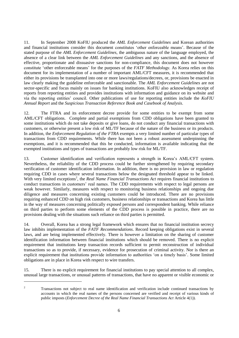11. In September 2008 KoFIU produced the *AML Enforcement Guidelines* and Korean authorities and financial institutions consider this document constitutes 'other enforceable means'. Because of the stated purpose of the *AML Enforcement Guidelines*, the ambiguous nature of the language employed, the absence of a clear link between the *AML Enforcement Guidelines* and any sanctions, and the absence of effective, proportionate and dissuasive sanctions for non-compliance, this document does not however constitute 'other enforceable means' for the purposes of the *FATF Methodology*. As Korea relies on this document for its implementation of a number of important AML/CFT measures, it is recommended that either its provisions be transplanted into one or more laws/regulations/decrees, or, provisions be enacted in law clearly making the guideline enforceable and sanctionable. The *AML Enforcement Guidelines* are not sector-specific and focus mainly on issues for banking institutions. KoFIU also acknowledges receipt of reports from reporting entities and provides institutions with information and guidance on its website and via the reporting entities' council. Other publications of use for reporting entities include the *KoFIU Annual Report* and the *Suspicious Transaction Reference Book and Casebook of Analysis*.

12. The FTRA and its enforcement decree provide for some entities to be exempt from some AML/CFT obligations. Complete and partial exemptions from CDD obligations have been granted to some institutions which do not take deposits or give loans, do not conduct any financial transactions with customers, or otherwise present a low risk of ML/TF because of the nature of the business or its products. In addition, the *Enforcement Regulation of the FTRA* exempts a very limited number of particular types of transactions from CDD requirements. While there has not been a robust assessment underpinning the exemptions, and it is recommended that this be conducted, information is available indicating that the exempted institutions and types of transactions are probably low risk for ML/TF.

13. Customer identification and verification represents a strength in Korea's AML/CFT system. Nevertheless, the reliability of the CDD process could be further strengthened by requiring secondary verification of customer identification information. In addition, there is no provision in law or regulation requiring CDD in cases where several transactions below the designated threshold appear to be linked. With very limited exceptions<sup>2</sup>, the *Real Name Financial Transactions Act* requires financial institutions to conduct transactions in customers' real names. The CDD requirements with respect to legal persons are weak however. Similarly, measures with respect to monitoring business relationships and ongoing due diligence and measures concerning existing customers could be introduced. There are no provisions requiring enhanced CDD on high risk customers, business relationships or transactions and Korea has little in the way of measures concerning politically exposed persons and correspondent banking. While reliance on third parties to perform some elements of the CDD process is possible in practice, there are no provisions dealing with the situations such reliance on third parties is permitted.

14. Overall, Korea has a strong legal framework which ensures that no financial institution secrecy law inhibits implementation of the *FATF Recommendations*. Record keeping obligations exist in several laws, and are being implemented effectively. There is however a limitation on the sharing of customer identification information between financial institutions which should be removed. There is no explicit requirement that institutions keep transaction records sufficient to permit reconstruction of individual transactions so as to provide, if necessary, evidence for prosecution of criminal activity. Nor is there an explicit requirement that institutions provide information to authorities 'on a timely basis'. Some limited obligations are in place in Korea with respect to wire transfers.

15. There is no explicit requirement for financial institutions to pay special attention to all complex, unusual large transactions, or unusual patterns of transactions, that have no apparent or visible economic or

 $\overline{a}$ 

<sup>2</sup> Transactions not subject to real name identification and verification include continued transactions by accounts in which the real names of the persons concerned are verified and receipt of various kinds of public imposts (*Enforcement Decree of the Real Name Financial Transactions Act* Article 4(1)).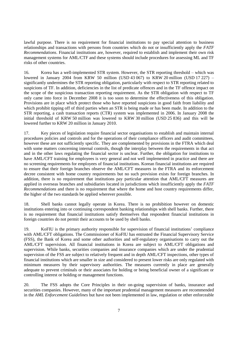lawful purpose. There is no requirement for financial institutions to pay special attention to business relationships and transactions with persons from countries which do not or insufficiently apply the *FATF Recommendations*. Financial institutions are, however, required to establish and implement their own risk management systems for AML/CTF and these systems should include procedures for assessing ML and TF risks of other countries.

16. Korea has a well-implemented STR system. However, the STR reporting threshold – which was lowered in January 2004 from KRW 50 million (USD 43 067) to KRW 20 million (USD 17 227) – significantly undermines the STR reporting obligation, particularly with respect to STR reporting related to suspicions of TF. In addition, deficiencies in the list of predicate offences and in the TF offence impact on the scope of the suspicious transaction reporting requirement. As the STR obligation with respect to TF only came into force in December 2008 it is too soon to determine the effectiveness of this obligation. Provisions are in place which protect those who have reported suspicions in good faith from liability and which prohibit tipping off of third parties when an STR is being made or has been made. In addition to the STR reporting, a cash transaction reports (CTR) system was implemented in 2006. In January 2008 the initial threshold of KRW 50 million was lowered to KRW 30 million (USD 25 836) and this will be lowered further to KRW 20 million in January 2010.

17. Key pieces of legislation require financial sector organisations to establish and maintain internal procedures policies and controls and for the operations of their compliance officers and audit committees, however these are not sufficiently specific. They are complemented by provisions in the FTRA which deal with some matters concerning internal controls, though the interplay between the requirements in that act and in the other laws regulating the financial sector is unclear. Further, the obligation for institutions to have AML/CFT training for employees is very general and not well implemented in practice and there are no screening requirements for employees of financial institutions. Korean financial institutions are required to ensure that their foreign branches observe the AML/CFT measures in the FTRA and its enforcement decree consistent with home country requirements but no such provision exists for foreign branches. In addition, there is no requirement that institutions pay particular attention that AML/CFT measures are applied in overseas branches and subsidiaries located in jurisdictions which insufficiently apply the *FATF Recommendations* and there is no requirement that where the home and host country requirements differ, the higher of the two standards be applied wherever possible.

18. Shell banks cannot legally operate in Korea. There is no prohibition however on domestic institutions entering into or continuing correspondent banking relationships with shell banks. Further, there is no requirement that financial institutions satisfy themselves that respondent financial institutions in foreign countries do not permit their accounts to be used by shell banks.

19. KoFIU is the primary authority responsible for supervision of financial institutions' compliance with AML/CFT obligations. The Commissioner of KoFIU has entrusted the Financial Supervisory Service (FSS), the Bank of Korea and some other authorities and self-regulatory organisations to carry out the AML/CFT supervision. All financial institutions in Korea are subject to AML/CFT obligations and supervision. While banks, securities companies and insurance companies which are under the prudential supervision of the FSS are subject to relatively frequent and in depth AML/CFT inspections, other types of financial institutions which are smaller in size and considered to present lower risks are only regulated with minimum measures by their supervisory authorities. The measures currently in place are generally adequate to prevent criminals or their associates for holding or being beneficial owner of a significant or controlling interest or holding or management functions.

20. The FSS adopts the Core Principles in their on-going supervision of banks, insurance and securities companies. However, many of the important prudential management measures are recommended in the *AML Enforcement Guidelines* but have not been implemented in law, regulation or other enforceable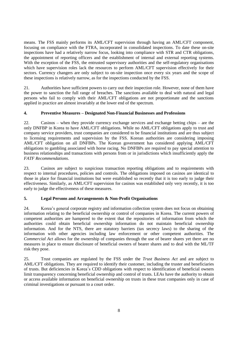means. The FSS mainly performs its AML/CFT supervision through having an AML/CFT component, focusing on compliance with the FTRA, incorporated in consolidated inspections. To date these on-site inspections have had a relatively narrow focus, looking into compliance with STR and CTR obligations, the appointment of reporting officers and the establishment of internal and external reporting systems. With the exception of the FSS, the entrusted supervisory authorities and the self-regulatory organisations which have supervision roles lack the resources to perform AML/CFT supervision effectively for their sectors. Currency changers are only subject to on-site inspection once every six years and the scope of these inspections is relatively narrow, as for the inspections conducted by the FSS.

21. Authorities have sufficient powers to carry out their inspection role. However, none of them have the power to sanction the full range of breaches. The sanctions available to deal with natural and legal persons who fail to comply with their AML/CFT obligations are not proportionate and the sanctions applied in practice are almost invariably at the lower end of the spectrum.

#### **4. Preventive Measures – Designated Non-Financial Businesses and Professions**

22. Casinos – when they provide currency exchange services and exchange betting chips – are the only DNFBP in Korea to have AML/CFT obligations. While no AML/CFT obligations apply to trust and company service providers, trust companies are considered to be financial institutions and are thus subject to licensing requirements and supervision by the FSS. Korean authorities are considering imposing AML/CFT obligation on all DNFBPs. The Korean government has considered applying AML/CFT obligations to gambling associated with horse racing. No DNFBPs are required to pay special attention to business relationships and transactions with persons from or in jurisdictions which insufficiently apply the *FATF Recommendations*.

23. Casinos are subject to suspicious transaction reporting obligations and to requirements with respect to internal procedures, policies and controls. The obligations imposed on casinos are identical to those in place for financial institutions but were established so recently that it is too early to judge their effectiveness. Similarly, as AML/CFT supervision for casinos was established only very recently, it is too early to judge the effectiveness of these measures.

#### **5. Legal Persons and Arrangements & Non-Profit Organisations**

24. Korea's general corporate registry and information collection system does not focus on obtaining information relating to the beneficial ownership or control of companies in Korea. The current powers of competent authorities are hampered to the extent that the repositories of information from which the authorities could obtain beneficial ownership information do not maintain beneficial ownership information. And for the NTS, there are statutory barriers (tax secrecy laws) to the sharing of the information with other agencies including law enforcement or other competent authorities. The *Commercial Act* allows for the ownership of companies through the use of bearer shares yet there are no measures in place to ensure disclosure of beneficial owners of bearer shares and to deal with the ML/TF risk they pose.

25. Trust companies are regulated by the FSS under the *Trust Business Act* and are subject to AML/CFT obligations. They are required to identify their customer, including the truster and beneficiaries of trusts. But deficiencies in Korea's CDD obligations with respect to identification of beneficial owners limit transparency concerning beneficial ownership and control of trusts. LEAs have the authority to obtain or access available information on beneficial ownership on trusts in these trust companies only in case of criminal investigations or pursuant to a court order.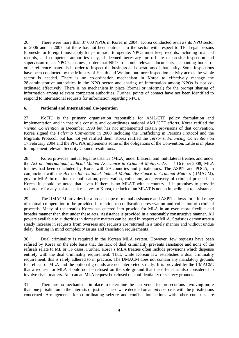26. There were more than 37 000 NPOs in Korea in 2004. Korea conducted reviews its NPO sector in 2006 and in 2007 but there has not been outreach to the sector with respect to TF. Legal persons (domestic or foreign) must apply for permission to operate. NPOs must keep records, including financial records, and competent authorities may, if deemed necessary for off-site or on-site inspection and supervision of an NPO's business, order that NPO to submit relevant documents, accounting books or other reference materials in order to inspect the business and operations of that entity. Some inspections have been conducted by the Ministry of Health and Welfare but more inspection activity across the whole sector is needed. There is no co-ordination mechanism in Korea to effectively manage the 28 administrative authorities in the NPO sector and sharing of information among NPOs is not coordinated effectively. There is no mechanism in place (formal or informal) for the prompt sharing of information among relevant competent authorities. Further, points of contact have not been identified to respond to international requests for information regarding NPOs.

#### **6. National and International Co-operation**

27. KoFIU is the primary organisation responsible for AML/CTF policy formulation and implementation and in that role consults and co-ordinates national AML/CTF efforts. Korea ratified the *Vienna Convention* in December 1998 but has not implemented certain provisions of that convention. Korea signed the *Palermo Convention* in 2000 including the Trafficking in Persons Protocol and the Migrants Protocol, but has not yet ratified them. Korea ratified the *Terrorist Financing Convention* on 17 February 2004 and the PFOPIA implements some of the obligations of the Convention. Little is in place to implement relevant Security Council resolutions.

28. Korea provides mutual legal assistance (MLA) under bilateral and multilateral treaties and under the *Act on International Judicial Mutual Assistance in Criminal Matters*. As at 1 October 2008, MLA treaties had been concluded by Korea with 29 countries and jurisdictions. The ASPIT and POCA, in conjunction with the *Act on International Judicial Mutual Assistance in Criminal Matters* (IJMACM), govern MLA in relation to confiscation, preservation, collection, and recovery of criminal proceeds in Korea. It should be noted that, even if there is no MLAT with a country, if it promises to provide reciprocity for any assistance it receives to Korea, the lack of an MLAT is not an impediment to assistance.

29. The IJMACM provides for a broad scope of mutual assistance and ASPIT allows for a full range of mutual co-operation to be provided in relation to confiscation preservation and collection of criminal proceeds. Many of the treaties Korea has entered into provide for MLA in an even more flexible and broader manner than that under these acts. Assistance is provided in a reasonably constructive manner. All powers available to authorities in domestic matters can be used in respect of MLA. Statistics demonstrate a steady increase in requests from overseas and requests are returned in a timely manner and without undue delay (bearing in mind complexity issues and translation requirements).

30. Dual criminality is required in the Korean MLA system. However, few requests have been refused by Korea on the sole basis that the lack of dual criminality prevents assistance and none of the refusals relate to ML or TF cases. Further, Korea's MLA treaties often include provisions which dispense entirely with the dual criminality requirement. Thus, while Korean law establishes a dual criminality requirement, this is rarely adhered to in practice. The IJMACM does not contain any mandatory grounds for refusal of MLA and the optional grounds are not interpreted strictly. It is provided by the IJMACM, that a request for MLA should not be refused on the sole ground that the offence is also considered to involve fiscal matters. Nor can an MLA request be refused on confidentiality or secrecy grounds.

31. There are no mechanisms in place to determine the best venue for prosecutions involving more than one jurisdiction in the interests of justice. These were decided on an *ad hoc* basis with the jurisdictions concerned. Arrangements for co-ordinating seizure and confiscation actions with other countries are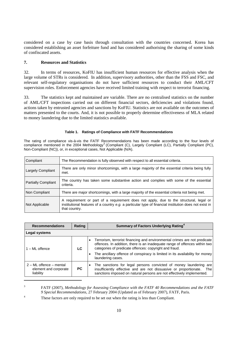considered on a case by case basis through consultation with the countries concerned. Korea has considered establishing an asset forfeiture fund and has considered authorising the sharing of some kinds of confiscated assets.

#### **7. Resources and Statistics**

32. In terms of resources, KoFIU has insufficient human resources for effective analysis when the large volume of STRs is considered. In addition, supervisory authorities, other than the FSS and FSC, and relevant self-regulatory organisations do not have sufficient resources to conduct their AML/CFT supervision roles. Enforcement agencies have received limited training with respect to terrorist financing.

33. The statistics kept and maintained are variable. There are no centralised statistics on the number of AML/CFT inspections carried out on different financial sectors, deficiencies and violations found, actions taken by entrusted agencies and sanctions by KoFIU. Statistics are not available on the outcomes of matters presented to the courts. And, it is not possible to properly determine effectiveness of MLA related to money laundering due to the limited statistics available.

#### **Table 1. Ratings of Compliance with FATF Recommendations**

The rating of compliance vis-à-vis the FATF Recommendations has been made according to the four levels of compliance mentioned in the 2004 Methodology<sup>3</sup> (Compliant (C), Largely Compliant (LC), Partially Compliant (PC), Non-Compliant (NC)), or, in exceptional cases, Not Applicable (N/A).

| Compliant                  | The Recommendation is fully observed with respect to all essential criteria.                                                                                                                                     |
|----------------------------|------------------------------------------------------------------------------------------------------------------------------------------------------------------------------------------------------------------|
| <b>Largely Compliant</b>   | There are only minor shortcomings, with a large majority of the essential criteria being fully<br>met.                                                                                                           |
| <b>Partially Compliant</b> | The country has taken some substantive action and complies with some of the essential<br>criteria.                                                                                                               |
| Non Compliant              | There are major shortcomings, with a large majority of the essential criteria not being met.                                                                                                                     |
| Not Applicable             | A requirement or part of a requirement does not apply, due to the structural, legal or<br>institutional features of a country e.g. a particular type of financial institution does not exist in<br>that country. |

| <b>Recommendations</b>                                            | Rating | Summary of Factors Underlying Rating <sup>4</sup>                                                                                                                                                                                                                                                                      |  |
|-------------------------------------------------------------------|--------|------------------------------------------------------------------------------------------------------------------------------------------------------------------------------------------------------------------------------------------------------------------------------------------------------------------------|--|
| Legal systems                                                     |        |                                                                                                                                                                                                                                                                                                                        |  |
| $1 - ML$ offence                                                  | LC.    | Terrorism, terrorist financing and environmental crimes are not predicate<br>offences. In addition, there is an inadequate range of offences within two<br>categories of predicate offences: copyright and fraud.<br>The ancillary offence of conspiracy is limited in its availability for money<br>laundering cases. |  |
| $2 - ML$ offence $-$ mental<br>element and corporate<br>liability | PC.    | The sanctions for legal persons convicted of money laundering are<br>insufficiently effective and are not dissuasive or proportionate.<br>The<br>sanctions imposed on natural persons are not effectively implemented.                                                                                                 |  |

3 FATF (2007), *Methodology for Assessing Compliance with the FATF 40 Recommendations and the FATF 9 Special Recommendations*, 27 February 2004 (Updated as of February 2007), FATF, Paris.

<sup>4</sup> These factors are only required to be set out when the rating is less than Compliant.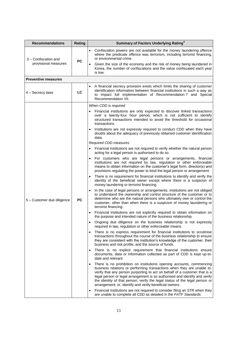| <b>Recommendations</b>                       | Rating    | Summary of Factors Underlying Rating <sup>4</sup>                                                                                                                                                                                                                                                                                                                                                                                                    |
|----------------------------------------------|-----------|------------------------------------------------------------------------------------------------------------------------------------------------------------------------------------------------------------------------------------------------------------------------------------------------------------------------------------------------------------------------------------------------------------------------------------------------------|
| 3 - Confiscation and<br>provisional measures | <b>PC</b> | Confiscation powers are not available for the money laundering offence<br>$\bullet$<br>where the predicate offence was terrorism, including terrorist financing,<br>or environmental crime.<br>Given the size of the economy and the risk of money being laundered in                                                                                                                                                                                |
|                                              |           | Korea, the number of confiscations and the value confiscated each year<br>is low.                                                                                                                                                                                                                                                                                                                                                                    |
| <b>Preventive measures</b>                   |           |                                                                                                                                                                                                                                                                                                                                                                                                                                                      |
| 4 - Secrecy laws                             | LC        | A financial secrecy provision exists which limits the sharing of customer<br>identification information between financial institutions in such a way as<br>to impact full implementation of Recommendation 7 and Special<br>Recommendation VII.                                                                                                                                                                                                      |
|                                              |           | When CDD is required                                                                                                                                                                                                                                                                                                                                                                                                                                 |
|                                              | <b>PC</b> | Financial institutions are only expected to discover linked transactions<br>over a twenty-four hour period, which is not sufficient to identify<br>structured transactions intended to avoid the threshold for occasional<br>transactions.                                                                                                                                                                                                           |
|                                              |           | Institutions are not expressly required to conduct CDD when they have<br>doubts about the adequacy of previously obtained customer identification<br>data.                                                                                                                                                                                                                                                                                           |
|                                              |           | Required CDD measures                                                                                                                                                                                                                                                                                                                                                                                                                                |
|                                              |           | Financial institutions are not required to verify whether the natural person<br>acting for a legal person is authorised to do so.                                                                                                                                                                                                                                                                                                                    |
|                                              |           | For customers who are legal persons or arrangements, financial<br>institutions are not required by law, regulation or other enforceable<br>means to obtain information on the customer's legal form, director(s) and<br>provisions regulating the power to bind the legal person or arrangement.                                                                                                                                                     |
|                                              |           | There is no requirement for financial institutions to identify and verify the<br>identity of the beneficial owner except where there is a suspicion of<br>money laundering or terrorist financing.                                                                                                                                                                                                                                                   |
| 5 - Customer due diligence                   |           | In the case of legal persons or arrangements, institutions are not obliged<br>$\bullet$<br>to understand the ownership and control structure of the customer or to<br>determine who are the natural persons who ultimately own or control the<br>customer, other than when there is a suspicion of money laundering or<br>terrorist financing.                                                                                                       |
|                                              |           | Financial institutions are not explicitly required to obtain information on<br>the purpose and intended nature of the business relationship.                                                                                                                                                                                                                                                                                                         |
|                                              |           | Ongoing due diligence on the business relationship is not expressly<br>required in law, regulation or other enforceable means.                                                                                                                                                                                                                                                                                                                       |
|                                              |           | There is no express requirement for financial institutions to scrutinise<br>transactions throughout the course of the business relationship to ensure<br>they are consistent with the institution's knowledge of the customer, their<br>business and risk profile, and the source of funds.                                                                                                                                                          |
|                                              |           | There is no explicit requirement that financial institutions ensure<br>$\bullet$<br>documents, data or information collected as part of CDD is kept up-to-<br>date and relevant.                                                                                                                                                                                                                                                                     |
|                                              |           | There is no prohibition on institutions opening accounts, commencing<br>business relations or performing transactions when they are unable to:<br>verify that any person purporting to act on behalf of a customer that is a<br>legal person or legal arrangement is so authorised and identify and verify<br>the identity of that person; verify the legal status of the legal person or<br>arrangement; or, identify and verify beneficial owners. |
|                                              |           | Financial institutions are not required to consider filing an STR when they<br>$\bullet$<br>are unable to complete all CDD as detailed in the FATF Standards.                                                                                                                                                                                                                                                                                        |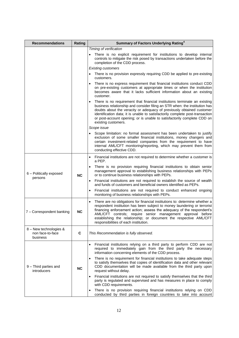| <b>Recommendations</b>                                 | Rating    | Summary of Factors Underlying Rating <sup>4</sup>                                                                                                                                                                                                                                                                                                                                                                          |
|--------------------------------------------------------|-----------|----------------------------------------------------------------------------------------------------------------------------------------------------------------------------------------------------------------------------------------------------------------------------------------------------------------------------------------------------------------------------------------------------------------------------|
|                                                        |           | Timing of verification<br>There is no explicit requirement for institutions to develop internal<br>controls to mitigate the risk posed by transactions undertaken before the<br>completion of the CDD process.                                                                                                                                                                                                             |
|                                                        |           | <b>Existing customers</b>                                                                                                                                                                                                                                                                                                                                                                                                  |
|                                                        |           | There is no provision expressly requiring CDD be applied to pre-existing<br>customers.                                                                                                                                                                                                                                                                                                                                     |
|                                                        |           | There is no express requirement that financial institutions conduct CDD<br>on pre-existing customers at appropriate times or when the institution<br>becomes aware that it lacks sufficient information about an existing<br>customer.                                                                                                                                                                                     |
|                                                        |           | There is no requirement that financial institutions terminate an existing<br>business relationship and consider filing an STR when: the institution has<br>doubts about the veracity or adequacy of previously obtained customer<br>identification data; it is unable to satisfactorily complete post-transaction<br>or post-account opening; or is unable to satisfactorily complete CDD on<br>existing customers.        |
|                                                        |           | Scope issue<br>Scope limitation: no formal assessment has been undertaken to justify<br>exclusion of some smaller financial institutions, money changers and<br>certain investment-related companies from the requirement to have<br>internal AML/CFT monitoring/reporting, which may prevent them from<br>conducting effective CDD.                                                                                       |
| 6 - Politically exposed<br>persons                     | <b>NC</b> | Financial institutions are not required to determine whether a customer is<br>$\bullet$<br>a PEP.<br>There is no provision requiring financial institutions to obtain senior<br>$\bullet$<br>management approval to establishing business relationships with PEPs                                                                                                                                                          |
|                                                        |           | or to continue business relationships with PEPs.<br>Financial institutions are not required to establish the source of wealth<br>$\bullet$<br>and funds of customers and beneficial owners identified as PEPs.                                                                                                                                                                                                             |
|                                                        |           | Financial institutions are not required to conduct enhanced ongoing<br>$\bullet$<br>monitoring of business relationships with PEPs.                                                                                                                                                                                                                                                                                        |
| 7 - Correspondent banking                              | <b>NC</b> | There are no obligations for financial institutions to: determine whether a<br>$\bullet$<br>respondent institution has been subject to money laundering or terrorist<br>financing enforcement action; assess the adequacy of the respondent's<br>AML/CFT controls; require senior management approval before<br>establishing the relationship; or document the respective AML/CFT<br>responsibilities of each institution. |
| 8 - New technologies &<br>non face-to-face<br>business | C         | This Recommendation is fully observed.                                                                                                                                                                                                                                                                                                                                                                                     |
| 9 - Third parties and<br>introducers                   | <b>NC</b> | Financial institutions relying on a third party to perform CDD are not<br>required to immediately gain from the third party the necessary<br>information concerning elements of the CDD process.                                                                                                                                                                                                                           |
|                                                        |           | There is no requirement for financial institutions to take adequate steps<br>$\bullet$<br>to satisfy themselves that copies of identification data and other relevant<br>CDD documentation will be made available from the third party upon<br>request without delay.                                                                                                                                                      |
|                                                        |           | Financial institutions are not required to satisfy themselves that the third<br>$\bullet$<br>party is regulated and supervised and has measures in place to comply<br>with CDD requirements.                                                                                                                                                                                                                               |
|                                                        |           | There is no provision requiring financial institutions relying on CDD<br>conducted by third parties in foreign countries to take into account                                                                                                                                                                                                                                                                              |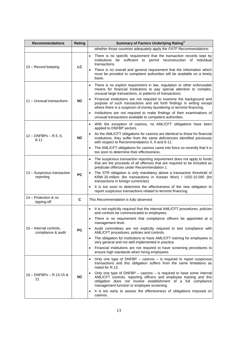| <b>Recommendations</b>                        | Rating    | Summary of Factors Underlying Rating <sup>4</sup>                                                                                                                                                                                                                                                                                                                                                                                                                                                                                                                                                                                     |
|-----------------------------------------------|-----------|---------------------------------------------------------------------------------------------------------------------------------------------------------------------------------------------------------------------------------------------------------------------------------------------------------------------------------------------------------------------------------------------------------------------------------------------------------------------------------------------------------------------------------------------------------------------------------------------------------------------------------------|
|                                               |           | whether those countries adequately apply the FATF Recommendations.                                                                                                                                                                                                                                                                                                                                                                                                                                                                                                                                                                    |
| 10 - Record keeping                           | <b>LC</b> | There is no specific requirement that the transaction records kept by<br>institutions be sufficient to permit reconstruction of individual<br>transactions.<br>There is no overall and general requirement that the information which<br>must be provided to competent authorities will be available on a timely<br>basis.                                                                                                                                                                                                                                                                                                            |
| 11 - Unusual transactions                     | <b>NC</b> | There is no explicit requirement in law, regulation or other enforceable<br>means for financial institutions to pay special attention to complex,<br>unusual large transactions, or patterns of transactions.<br>Financial institutions are not required to examine the background and<br>$\bullet$<br>purpose of such transactions and set forth findings in writing except<br>where there is a suspicion of money laundering or terrorist financing.<br>Institutions are not required to make findings of their examinations of<br>$\bullet$<br>unusual transactions available to competent authorities.                            |
| $12 - DNFBPs - R.5, 6,$<br>$8 - 11$           | <b>NC</b> | With the exception of casinos, no AML/CFT obligations have been<br>applied to DNFBP sectors.<br>As the AML/CFT obligations for casinos are identical to those for financial<br>institutions, they suffer from the same deficiencies identified previously<br>with respect to Recommendations 5, 6 and 9-11.<br>The AML/CFT obligations for casinos came into force so recently that it is<br>too soon to determine their effectiveness.                                                                                                                                                                                               |
| 13 - Suspicious transaction<br>reporting      | <b>PC</b> | The suspicious transaction reporting requirement does not apply to funds<br>that are the proceeds of all offences that are required to be included as<br>predicate offences under Recommendation 1.<br>The STR obligation is only mandatory above a transaction threshold of<br>KRW 20 million (for transactions in Korean Won) / USD 10 000 (for<br>transactions in foreign currencies).<br>It is too soon to determine the effectiveness of the new obligation to<br>report suspicious transactions related to terrorist financing.                                                                                                 |
| 14 - Protection & no<br>tipping-off           | C         | This Recommendation is fully observed.                                                                                                                                                                                                                                                                                                                                                                                                                                                                                                                                                                                                |
| 15 - Internal controls,<br>compliance & audit | <b>PC</b> | It is not explicitly required that the internal AML/CFT procedures, policies<br>$\bullet$<br>and controls be communicated to employees.<br>• There is no requirement that compliance officers be appointed at a<br>management level.<br>Audit committees are not explicitly required to test compliance with<br>AML/CFT procedures, policies and controls.<br>The obligation for institutions to have AML/CFT training for employees is<br>$\bullet$<br>very general and not well implemented in practice.<br>Financial institutions are not required to have screening procedures to<br>ensure high standards when hiring employees. |
| $16 - DNFBPs - R.13 - 15$ &<br>21             | <b>NC</b> | Only one type of DNFBP - casinos - is required to report suspicious<br>transactions and this obligation suffers from the same limitations as<br>noted for R.13.<br>Only one type of DNFBP - casinos - is required to have some internal<br>AML/CFT controls, reporting officers and employee training and this<br>obligation does not involve establishment of a full compliance<br>management function or employee screening.<br>It is too early to assess the effectiveness of obligations imposed on<br>casinos.                                                                                                                   |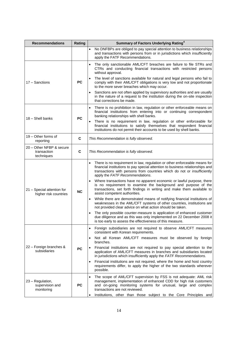| <b>Recommendations</b>                                | Rating    | <b>Summary of Factors Underlying Rating<sup>4</sup></b>                                                                                                                                                                                                                                                                                                                                                                                                                                                                                                                                                                                                                                                                                                                                                                                                                                                                                                                        |
|-------------------------------------------------------|-----------|--------------------------------------------------------------------------------------------------------------------------------------------------------------------------------------------------------------------------------------------------------------------------------------------------------------------------------------------------------------------------------------------------------------------------------------------------------------------------------------------------------------------------------------------------------------------------------------------------------------------------------------------------------------------------------------------------------------------------------------------------------------------------------------------------------------------------------------------------------------------------------------------------------------------------------------------------------------------------------|
|                                                       |           | No DNFBPs are obliged to pay special attention to business relationships<br>$\bullet$<br>and transactions with persons from or in jurisdictions which insufficiently<br>apply the FATF Recommendations.                                                                                                                                                                                                                                                                                                                                                                                                                                                                                                                                                                                                                                                                                                                                                                        |
| 17 - Sanctions                                        | <b>PC</b> | The only sanctionable AML/CFT breaches are failure to file STRs and<br>CTRs and conducting financial transactions with restricted persons<br>without approval.<br>The level of sanctions available for natural and legal persons who fail to<br>comply with their AML/CFT obligations is very low and not proportionate<br>to the more sever breaches which may occur.<br>Sanctions are not often applied by supervisory authorities and are usually<br>in the nature of a request to the institution during the on-site inspection                                                                                                                                                                                                                                                                                                                                                                                                                                            |
| 18 - Shell banks                                      | <b>PC</b> | that corrections be made.<br>There is no prohibition in law, regulation or other enforceable means on<br>financial institutions from entering into or continuing correspondent<br>banking relationships with shell banks.<br>There is no requirement in law, regulation or other enforceable for<br>financial institutions to satisfy themselves that respondent financial<br>institutions do not permit their accounts to be used by shell banks.                                                                                                                                                                                                                                                                                                                                                                                                                                                                                                                             |
| 19 - Other forms of<br>reporting                      | C         | This Recommendation is fully observed.                                                                                                                                                                                                                                                                                                                                                                                                                                                                                                                                                                                                                                                                                                                                                                                                                                                                                                                                         |
| 20 - Other NFBP & secure<br>transaction<br>techniques | C         | This Recommendation is fully observed.                                                                                                                                                                                                                                                                                                                                                                                                                                                                                                                                                                                                                                                                                                                                                                                                                                                                                                                                         |
| 21 - Special attention for<br>higher risk countries   | <b>NC</b> | There is no requirement in law, regulation or other enforceable means for<br>financial institutions to pay special attention to business relationships and<br>transactions with persons from countries which do not or insufficiently<br>apply the FATF Recommendations.<br>Where transactions have no apparent economic or lawful purpose, there<br>$\bullet$<br>is no requirement to examine the background and purpose of the<br>transactions, set forth findings in writing and make them available to<br>assist competent authorities.<br>While there are demonstrated means of notifying financial institutions of<br>weaknesses in the AML/CFT systems of other countries, institutions are<br>not provided clear advice on what action should be taken.<br>The only possible counter-measure is application of enhanced customer<br>due diligence and as this was only implemented on 22 December 2008 it<br>is too early to assess the effectiveness of this measure. |
| 22 - Foreign branches &<br>subsidiaries               | <b>PC</b> | Foreign subsidiaries are not required to observe AML/CFT measures<br>$\bullet$<br>consistent with Korean requirements.<br>Not all Korean AML/CFT measures must be observed by foreign<br>branches.<br>Financial institutions are not required to pay special attention to the<br>application of AML/CFT measures in branches and subsidiaries located<br>in jurisdictions which insufficiently apply the FATF Recommendations.<br>Financial institutions are not required, where the home and host country<br>requirements differ, to apply the higher of the two standards wherever<br>possible.                                                                                                                                                                                                                                                                                                                                                                              |
| 23 - Regulation,<br>supervision and<br>monitoring     | <b>PC</b> | The scope of AML/CFT supervision by FSS is not adequate: AML risk<br>$\bullet$<br>management, implementation of enhanced CDD for high risk customers<br>and on-going monitoring systems for unusual, large and complex<br>transactions are not reviewed.<br>Institutions, other than those subject to the Core Principles and<br>$\bullet$                                                                                                                                                                                                                                                                                                                                                                                                                                                                                                                                                                                                                                     |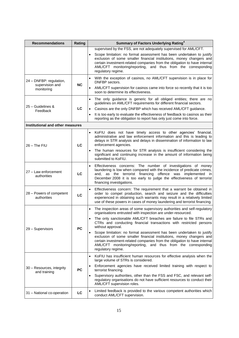| <b>Recommendations</b>                                   | Rating    | Summary of Factors Underlying Rating <sup>4</sup>                                                                                                                                                                                                                                                                                                                                                                                                                                                                                                                                                                                            |
|----------------------------------------------------------|-----------|----------------------------------------------------------------------------------------------------------------------------------------------------------------------------------------------------------------------------------------------------------------------------------------------------------------------------------------------------------------------------------------------------------------------------------------------------------------------------------------------------------------------------------------------------------------------------------------------------------------------------------------------|
|                                                          |           | supervised by the FSS, are not adequately supervised for AML/CFT.                                                                                                                                                                                                                                                                                                                                                                                                                                                                                                                                                                            |
|                                                          |           | Scope limitation: no formal assessment has been undertaken to justify<br>exclusion of some smaller financial institutions, money changers and<br>certain investment-related companies from the obligation to have internal<br>AML/CFT monitoring/reporting, and thus from the corresponding<br>regulatory regime.                                                                                                                                                                                                                                                                                                                            |
| 24 - DNFBP: regulation,<br>supervision and<br>monitoring | <b>NC</b> | With the exception of casinos, no AML/CFT supervision is in place for<br>DNFBP sectors.<br>AML/CFT supervision for casinos came into force so recently that it is too<br>soon to determine its effectiveness.                                                                                                                                                                                                                                                                                                                                                                                                                                |
| 25 - Guidelines &<br>Feedback                            | LC        | The only guidance is generic for all obliged entities; there are no<br>$\bullet$<br>guidelines on AML/CFT requirements for different financial sectors.<br>Casinos are the only DNFBP which has received AML/CFT guidance.<br>It is too early to evaluate the effectiveness of feedback to casinos as their<br>reporting as the obligation to report has only just come into force.                                                                                                                                                                                                                                                          |
| Institutional and other measures                         |           |                                                                                                                                                                                                                                                                                                                                                                                                                                                                                                                                                                                                                                              |
| $26 -$ The FIU                                           | LC        | KoFIU does not have timely access to other agencies' financial,<br>$\bullet$<br>administrative and law enforcement information and this is leading to<br>delays in STR analysis and delays in dissemination of information to law<br>enforcement agencies.<br>The human resources for STR analysis is insufficient considering the<br>significant and continuing increase in the amount of information being<br>submitted to KoFIU.                                                                                                                                                                                                          |
| 27 - Law enforcement<br>authorities                      | LC        | Effectiveness concerns: The number of investigations of money<br>$\bullet$<br>laundering is low when compared with the incidence of predicate crimes,<br>as the terrorist financing offence was implemented in<br>and.<br>December 2008 it is too early to judge the effectiveness of terrorist<br>financing investigations.                                                                                                                                                                                                                                                                                                                 |
| 28 - Powers of competent<br>authorities                  | LC        | Effectiveness concern: The requirement that a warrant be obtained in<br>order to compel production, search and seizure and the difficulties<br>experienced in obtaining such warrants may result in a relatively limited<br>use of these powers in cases of money laundering and terrorist financing.                                                                                                                                                                                                                                                                                                                                        |
| 29 - Supervisors                                         | <b>PC</b> | The inspection areas of some supervisory authorities and self-regulatory<br>organisations entrusted with inspection are under-resourced.<br>The only sanctionable AML/CFT breaches are failure to file STRs and<br>CTRs and conducting financial transactions with restricted persons<br>without approval.<br>Scope limitation: no formal assessment has been undertaken to justify<br>$\bullet$<br>exclusion of some smaller financial institutions, money changers and<br>certain investment-related companies from the obligation to have internal<br>AML/CFT monitoring/reporting, and thus from the corresponding<br>regulatory regime. |
| 30 - Resources, integrity<br>and training                | <b>PC</b> | KoFIU has insufficient human resources for effective analysis when the<br>$\bullet$<br>large volume of STRs is considered.<br>Enforcement agencies have received limited training with respect to<br>terrorist financing.<br>Supervisory authorities, other than the FSS and FSC, and relevant self-<br>٠<br>regulatory organisations do not have sufficient resources to conduct their<br>AML/CFT supervision roles.                                                                                                                                                                                                                        |
| 31 - National co-operation                               | LC        | Limited feedback is provided to the various competent authorities which<br>$\bullet$<br>conduct AML/CFT supervision.                                                                                                                                                                                                                                                                                                                                                                                                                                                                                                                         |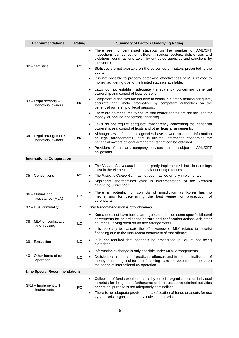| <b>Recommendations</b>                         | Rating    | Summary of Factors Underlying Rating <sup>4</sup>                                                                                                                                                                                             |  |
|------------------------------------------------|-----------|-----------------------------------------------------------------------------------------------------------------------------------------------------------------------------------------------------------------------------------------------|--|
|                                                | <b>PC</b> | There are no centralised statistics on the number of AML/CFT<br>$\bullet$<br>inspections carried out on different financial sectors, deficiencies and<br>violations found, actions taken by entrusted agencies and sanctions by<br>the KoFIU. |  |
| 32 - Statistics                                |           | Statistics are not available on the outcomes of matters presented to the<br>courts.                                                                                                                                                           |  |
|                                                |           | It is not possible to properly determine effectiveness of MLA related to<br>money laundering due to the limited statistics available.                                                                                                         |  |
|                                                |           | Laws do not establish adequate transparency concerning beneficial<br>$\bullet$<br>ownership and control of legal persons.                                                                                                                     |  |
| 33 - Legal persons -<br>beneficial owners      | <b>NC</b> | Competent authorities are not able to obtain in a timely fashion adequate,<br>$\bullet$<br>accurate and timely information by competent authorities on the<br>beneficial ownership of legal persons.                                          |  |
|                                                |           | There are no measures to ensure that bearer shares are not misused for<br>$\bullet$<br>money laundering and terrorist financing.                                                                                                              |  |
|                                                |           | Laws do not require adequate transparency concerning the beneficial<br>ownership and control of trusts and other legal arrangements.                                                                                                          |  |
| 34 - Legal arrangements -<br>beneficial owners | <b>NC</b> | Although law enforcement agencies have powers to obtain information<br>on legal arrangements, there is minimal information concerning the<br>beneficial owners of legal arrangements that can be obtained.                                    |  |
|                                                |           | Providers of trust and company services are not subject to AML/CFT<br>obligations.                                                                                                                                                            |  |
| <b>International Co-operation</b>              |           |                                                                                                                                                                                                                                               |  |
|                                                |           | The Vienna Convention has been partly implemented, but shortcomings<br>$\bullet$<br>exist in the elements of the money laundering offences.                                                                                                   |  |
| 35 - Conventions                               | <b>PC</b> | The Palermo Convention has not been ratified or fully implemented.                                                                                                                                                                            |  |
|                                                |           | Significant shortcomings exist in implementation of the Terrorist<br>$\bullet$<br>Financing Convention.                                                                                                                                       |  |
| 36 - Mutual legal<br>assistance (MLA)          | LC        | There is potential for conflicts of jurisdiction as Korea has no<br>$\bullet$<br>mechanisms for determining the best venue for prosecution of<br>defendants.                                                                                  |  |
| 37 - Dual criminality                          | C         | This Recommendation is fully observed.                                                                                                                                                                                                        |  |
| 38 - MLA on confiscation<br>and freezing       | LC        | Korea does not have formal arrangements outside some specific bilateral<br>$\bullet$<br>agreements for co-ordinating seizure and confiscation actions with other<br>countries, relying often on ad hoc arrangements.                          |  |
|                                                |           | It is too early to evaluate the effectiveness of MLA related to terrorist<br>$\bullet$<br>financing due to the very recent enactment of that offence.                                                                                         |  |
| 39 - Extradition                               | LC        | It is not required that nationals be prosecuted in lieu of not being<br>extradited.                                                                                                                                                           |  |
|                                                |           | Information exchange is only possible under MOU arrangements.<br>$\bullet$                                                                                                                                                                    |  |
| 40 - Other forms of co-<br>operation           | LC        | Deficiencies in the list of predicate offences and in the criminalisation of<br>$\bullet$<br>money laundering and terrorist financing have the potential to impact on<br>the scope of international co-operation.                             |  |
| <b>Nine Special Recommendations</b>            |           |                                                                                                                                                                                                                                               |  |
| SR.I - Implement UN<br>instruments             | <b>PC</b> | Collection of funds or other assets by terrorist organisations or individual<br>$\bullet$<br>terrorists for the general furtherance of their respective criminal activities<br>or criminal purpose is not adequately criminalised.            |  |
|                                                |           | There is no adequate provision for confiscation of funds or assets for use<br>by a terrorist organisation or by individual terrorists.                                                                                                        |  |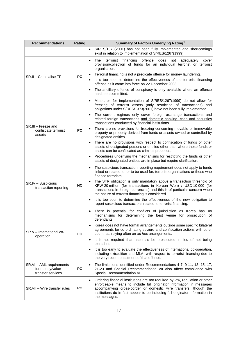| <b>Recommendations</b>                                           | Rating    | Summary of Factors Underlying Rating <sup>4</sup>                                                                                                                                                                                                                                                                          |
|------------------------------------------------------------------|-----------|----------------------------------------------------------------------------------------------------------------------------------------------------------------------------------------------------------------------------------------------------------------------------------------------------------------------------|
|                                                                  |           | S/RES/1373(2001) has not been fully implemented and shortcomings<br>$\bullet$<br>exist in relation to implementation of S/RES/1267(1999).                                                                                                                                                                                  |
|                                                                  |           | offence<br>does<br>The<br>terrorist<br>financing<br>adequately<br>$\bullet$<br>not<br>cover<br>provision/collection of funds for an individual terrorist or terrorist<br>organisation.                                                                                                                                     |
| SR.II – Criminalise TF                                           | <b>PC</b> | Terrorist financing is not a predicate offence for money laundering.<br>It is too soon to determine the effectiveness of the terrorist financing                                                                                                                                                                           |
|                                                                  |           | offence as it came into force on 22 December 2008.                                                                                                                                                                                                                                                                         |
|                                                                  |           | The ancillary offence of conspiracy is only available where an offence<br>has been committed.                                                                                                                                                                                                                              |
|                                                                  |           | Measures for implementation of S/RES/1267(1999) do not allow for<br>$\bullet$<br>freezing of terrorist assets (only restriction of transactions) and<br>obligations under S/RES/1373(2001) have not been fully implemented.                                                                                                |
|                                                                  |           | The current regimes only cover foreign exchange transactions and<br>related foreign transactions and domestic banking, cash and securities<br>transactions conducted by financial institutions.                                                                                                                            |
| SR.III – Freeze and<br>confiscate terrorist<br>assets            | <b>PC</b> | There are no provisions for freezing concerning movable or immovable<br>property or property derived from funds or assets owned or controlled by<br>designated entities.                                                                                                                                                   |
|                                                                  |           | There are no provisions with respect to confiscation of funds or other<br>assets of designated persons or entities other than where those funds or<br>assets can be confiscated as criminal proceeds.                                                                                                                      |
|                                                                  |           | Procedures underlying the mechanisms for restricting the funds or other<br>assets of designated entities are in place but require clarification.                                                                                                                                                                           |
|                                                                  |           | The suspicious transaction reporting requirement does not apply to funds<br>linked or related to, or to be used for, terrorist organisations or those who<br>finance terrorism.                                                                                                                                            |
| SR.IV - Suspicious<br>transaction reporting                      | NC        | The STR obligation is only mandatory above a transaction threshold of<br>KRW 20 million (for transactions in Korean Won) / USD 10 000 (for<br>transactions in foreign currencies) and this is of particular concern when<br>the nature of terrorist financing is considered.                                               |
|                                                                  |           | It is too soon to determine the effectiveness of the new obligation to<br>report suspicious transactions related to terrorist financing.                                                                                                                                                                                   |
|                                                                  | LC        | There is potential for conflicts of jurisdiction as Korea has no<br>mechanisms for determining the best venue for prosecution of<br>defendants.                                                                                                                                                                            |
| SR.V - International co-                                         |           | Korea does not have formal arrangements outside some specific bilateral<br>agreements for co-ordinating seizure and confiscation actions with other<br>countries, relying often on ad hoc arrangements.                                                                                                                    |
| operation                                                        |           | It is not required that nationals be prosecuted in lieu of not being<br>extradited.                                                                                                                                                                                                                                        |
|                                                                  |           | It is too early to evaluate the effectiveness of international co-operation,<br>including extradition and MLA, with respect to terrorist financing due to<br>the very recent enactment of that offence.                                                                                                                    |
| SR.VI - AML requirements<br>for money/value<br>transfer services | <b>PC</b> | The limitations identified under Recommendations 4-7, 9-11, 13, 15, 17,<br>$\bullet$<br>21-23 and Special Recommendation VII also affect compliance with<br>Special Recommendation VI.                                                                                                                                     |
| SR.VII - Wire transfer rules                                     | <b>PC</b> | Ordering financial institutions are not required by law, regulation or other<br>enforceable means to include full originator information in messages<br>accompanying cross-border or domestic wire transfers, though the<br>institutions do in fact appear to be including full originator information in<br>the messages. |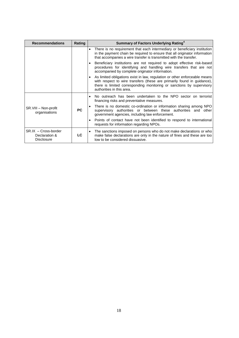| <b>Recommendations</b>                                      | Rating    | Summary of Factors Underlying Rating <sup>4</sup>                                                                                                                                                                                                           |
|-------------------------------------------------------------|-----------|-------------------------------------------------------------------------------------------------------------------------------------------------------------------------------------------------------------------------------------------------------------|
|                                                             |           | There is no requirement that each intermediary or beneficiary institution<br>$\bullet$<br>in the payment chain be required to ensure that all originator information<br>that accompanies a wire transfer is transmitted with the transfer.                  |
|                                                             |           | Beneficiary institutions are not required to adopt effective risk-based<br>procedures for identifying and handling wire transfers that are not<br>accompanied by complete originator information.                                                           |
|                                                             |           | As limited obligations exist in law, regulation or other enforceable means<br>with respect to wire transfers (these are primarily found in guidance),<br>there is limited corresponding monitoring or sanctions by supervisory<br>authorities in this area. |
| SR.VIII - Non-profit<br>organisations                       | <b>PC</b> | No outreach has been undertaken to the NPO sector on terrorist<br>financing risks and preventative measures.                                                                                                                                                |
|                                                             |           | There is no domestic co-ordination or information sharing among NPO<br>supervisory authorities or between these authorities and other<br>government agencies, including law enforcement.                                                                    |
|                                                             |           | Points of contact have not been identified to respond to international<br>requests for information regarding NPOs.                                                                                                                                          |
| $SRIX - Cross-border$<br>Declaration &<br><b>Disclosure</b> | LC.       | The sanctions imposed on persons who do not make declarations or who<br>make false declarations are only in the nature of fines and these are too<br>low to be considered dissuasive.                                                                       |